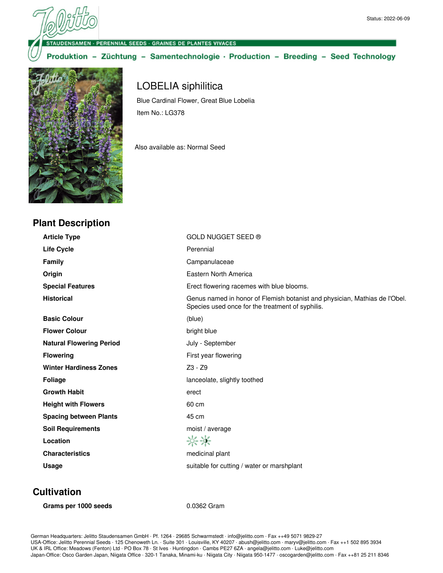ENSAMEN · PERENNIAL SEEDS · GRAINES DE PLANTES VIVACES

#### Produktion - Züchtung - Samentechnologie · Production - Breeding - Seed Technology



# LOBELIA siphilitica

Blue Cardinal Flower, Great Blue Lobelia Item No.: LG378

Also available as: Normal Seed

| <b>Plant Description</b>        |                                                                                                                                |
|---------------------------------|--------------------------------------------------------------------------------------------------------------------------------|
| <b>Article Type</b>             | <b>GOLD NUGGET SEED ®</b>                                                                                                      |
| <b>Life Cycle</b>               | Perennial                                                                                                                      |
| <b>Family</b>                   | Campanulaceae                                                                                                                  |
| Origin                          | Eastern North America                                                                                                          |
| <b>Special Features</b>         | Erect flowering racemes with blue blooms.                                                                                      |
| <b>Historical</b>               | Genus named in honor of Flemish botanist and physician, Mathias de l'Obel.<br>Species used once for the treatment of syphilis. |
| <b>Basic Colour</b>             | (blue)                                                                                                                         |
| <b>Flower Colour</b>            | bright blue                                                                                                                    |
| <b>Natural Flowering Period</b> | July - September                                                                                                               |
| <b>Flowering</b>                | First year flowering                                                                                                           |
| <b>Winter Hardiness Zones</b>   | $Z3 - Z9$                                                                                                                      |
| <b>Foliage</b>                  | lanceolate, slightly toothed                                                                                                   |
| <b>Growth Habit</b>             | erect                                                                                                                          |
| <b>Height with Flowers</b>      | 60 cm                                                                                                                          |
| <b>Spacing between Plants</b>   | 45 cm                                                                                                                          |
| <b>Soil Requirements</b>        | moist / average                                                                                                                |
| Location                        | 兴米                                                                                                                             |
| <b>Characteristics</b>          | medicinal plant                                                                                                                |
| <b>Usage</b>                    | suitable for cutting / water or marshplant                                                                                     |
|                                 |                                                                                                                                |

## **Cultivation**

Grams per 1000 seeds 0.0362 Gram